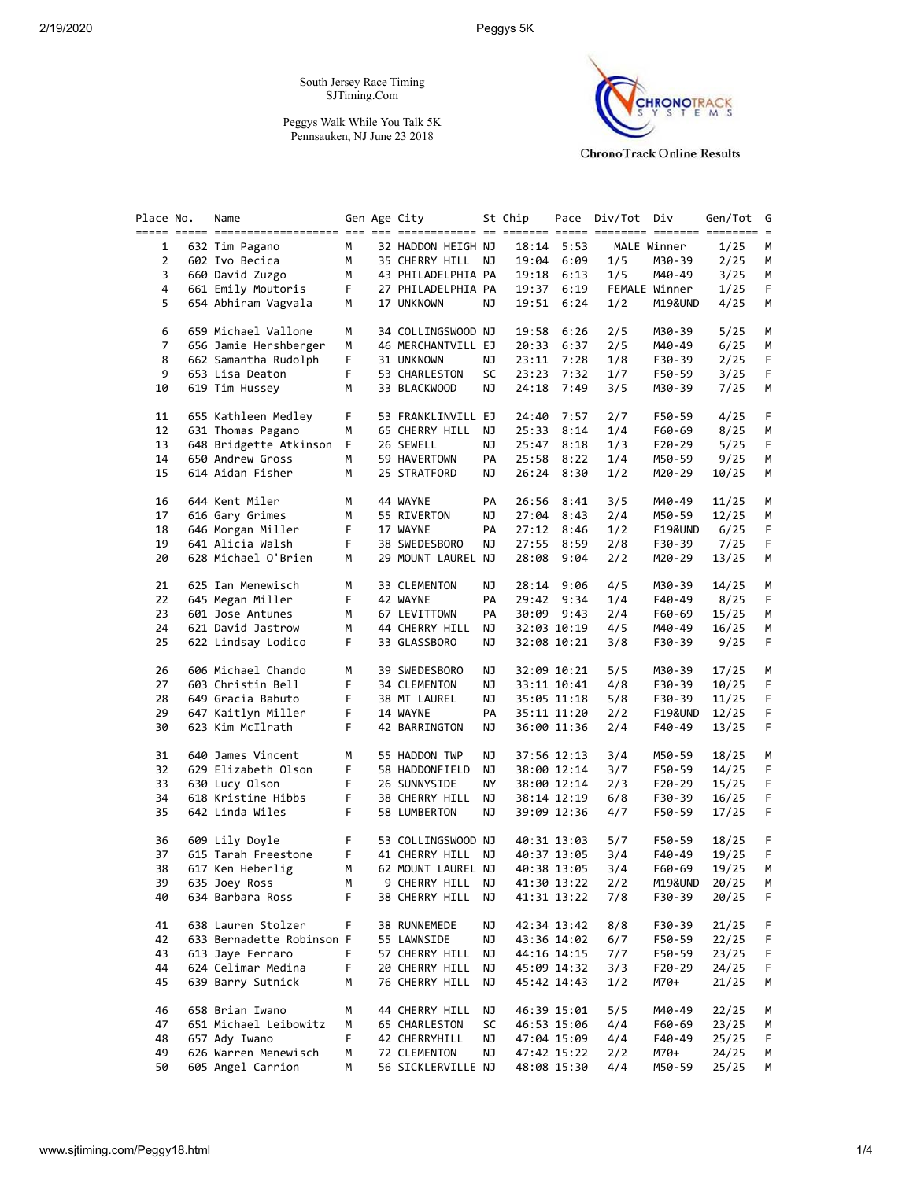# 2/19/2020 Peggys 5K

South Jersey Race Timing SJTiming.Com

Peggys Walk While You Talk 5K Pennsauken, NJ June 23 2018



**ChronoTrack Online Results** 

| Place No.      | Name                      |    | Gen Age City       |    | St Chip     |             | Pace Div/Tot Div |               | Gen/Tot | G  |
|----------------|---------------------------|----|--------------------|----|-------------|-------------|------------------|---------------|---------|----|
|                |                           |    |                    |    |             |             |                  |               |         |    |
| 1              | 632 Tim Pagano            | М  | 32 HADDON HEIGH NJ |    |             | 18:14 5:53  |                  | MALE Winner   | 1/25    | M  |
| $\overline{2}$ | 602 Ivo Becica            | M  | 35 CHERRY HILL NJ  |    |             | 19:04 6:09  | 1/5              | M30-39        | 2/25    | M  |
| 3              | 660 David Zuzgo           | M  | 43 PHILADELPHIA PA |    | 19:18       | 6:13        | 1/5              | M40-49        | 3/25    | М  |
| 4              | 661 Emily Moutoris        | F. | 27 PHILADELPHIA PA |    |             | 19:37 6:19  |                  | FEMALE Winner | 1/25    | F. |
| 5              | 654 Abhiram Vagvala       | м  | 17 UNKNOWN         | ΝJ |             | 19:51 6:24  | 1/2              | M19&UND       | 4/25    | М  |
|                |                           |    |                    |    |             |             |                  |               |         |    |
| 6              | 659 Michael Vallone       | м  | 34 COLLINGSWOOD NJ |    | 19:58       | 6:26        | 2/5              | M30-39        | 5/25    | М  |
| 7              | 656 Jamie Hershberger     | М  | 46 MERCHANTVILL EJ |    | 20:33       | 6:37        | 2/5              | M40-49        | 6/25    | М  |
|                |                           |    |                    |    |             |             |                  |               |         |    |
| 8              | 662 Samantha Rudolph      | F. | 31 UNKNOWN         | ΝJ | 23:11       | 7:28        | 1/8              | F30-39        | 2/25    | F. |
| 9              | 653 Lisa Deaton           | F  | 53 CHARLESTON      | SC |             | 23:23 7:32  | 1/7              | F50-59        | 3/25    | F. |
| 10             | 619 Tim Hussey            | М  | 33 BLACKWOOD       | ΝJ |             | 24:18 7:49  | 3/5              | M30-39        | 7/25    | М  |
| 11             | 655 Kathleen Medley       | F  | 53 FRANKLINVILL EJ |    | 24:40       | 7:57        | 2/7              | F50-59        | 4/25    | F. |
|                | 631 Thomas Pagano         | М  |                    |    |             | 8:14        | 1/4              | F60-69        |         |    |
| 12             |                           |    | 65 CHERRY HILL     | NJ | 25:33       |             |                  |               | 8/25    | м  |
| 13             | 648 Bridgette Atkinson F  |    | 26 SEWELL          | ΝJ | 25:47       | 8:18        | 1/3              | F20-29        | 5/25    | F. |
| 14             | 650 Andrew Gross          | М  | 59 HAVERTOWN       | PA |             | 25:58 8:22  | 1/4              | M50-59        | 9/25    | М  |
| 15             | 614 Aidan Fisher          | М  | 25 STRATFORD       | ΝJ |             | 26:24 8:30  | 1/2              | M20-29        | 10/25   | М  |
|                |                           |    | 44 WAYNE           |    |             |             |                  |               |         |    |
| 16             | 644 Kent Miler            | М  |                    | PA | 26:56       | 8:41        | 3/5              | M40-49        | 11/25   | M  |
| 17             | 616 Gary Grimes           | М  | 55 RIVERTON        | ΝJ | 27:04       | 8:43        | 2/4              | M50-59        | 12/25   | М  |
| 18             | 646 Morgan Miller         | F  | 17 WAYNE           | PA |             | 27:12 8:46  | 1/2              | F19&UND       | 6/25    | F. |
| 19             | 641 Alicia Walsh          | F. | 38 SWEDESBORO      | ΝJ |             | 27:55 8:59  | 2/8              | F30-39        | 7/25    | F. |
| 20             | 628 Michael O'Brien       | М  | 29 MOUNT LAUREL NJ |    |             | 28:08 9:04  | 2/2              | M20-29        | 13/25   | М  |
|                | 625 Ian Menewisch         |    |                    |    |             |             |                  |               |         |    |
| 21             |                           | М  | 33 CLEMENTON       | ΝJ | 28:14       | 9:06        | 4/5              | M30-39        | 14/25   | М  |
| 22             | 645 Megan Miller          | F  | 42 WAYNE           | PA |             | 29:42 9:34  | 1/4              | F40-49        | 8/25    | F  |
| 23             | 601 Jose Antunes          | M  | 67 LEVITTOWN       | PA |             | 30:09 9:43  | 2/4              | F60-69        | 15/25   | М  |
| 24             | 621 David Jastrow         | М  | 44 CHERRY HILL     | ΝJ |             | 32:03 10:19 | 4/5              | M40-49        | 16/25   | М  |
| 25             | 622 Lindsay Lodico        | F. | 33 GLASSBORO       | ΝJ |             | 32:08 10:21 | 3/8              | F30-39        | 9/25    | F. |
|                |                           |    |                    |    |             |             |                  |               |         |    |
| 26             | 606 Michael Chando        | м  | 39 SWEDESBORO      | ΝJ |             | 32:09 10:21 | 5/5              | M30-39        | 17/25   | М  |
| 27             | 603 Christin Bell         | F  | 34 CLEMENTON       | ΝJ |             | 33:11 10:41 | 4/8              | F30-39        | 10/25   | F  |
| 28             | 649 Gracia Babuto         | F  | 38 MT LAUREL       | ΝJ |             | 35:05 11:18 | 5/8              | F30-39        | 11/25   | F  |
| 29             | 647 Kaitlyn Miller        | F  | 14 WAYNE           | PA |             | 35:11 11:20 | 2/2              | F19&UND       | 12/25   | F. |
| 30             | 623 Kim McIlrath          | F. | 42 BARRINGTON      | ΝJ |             | 36:00 11:36 | 2/4              | F40-49        | 13/25   | F. |
|                |                           |    |                    |    |             |             |                  |               |         |    |
| 31             | 640 James Vincent         | м  | 55 HADDON TWP      | ΝJ |             | 37:56 12:13 | 3/4              | M50-59        | 18/25   | М  |
| 32             | 629 Elizabeth Olson       | F  | 58 HADDONFIELD     | ΝJ |             | 38:00 12:14 | 3/7              | F50-59        | 14/25   | F  |
| 33             | 630 Lucy Olson            | F  | 26 SUNNYSIDE       | ΝY |             | 38:00 12:14 | 2/3              | F20-29        | 15/25   | F. |
| 34             | 618 Kristine Hibbs        | F  | 38 CHERRY HILL     | ΝJ |             | 38:14 12:19 | 6/8              | F30-39        | 16/25   | F  |
| 35             | 642 Linda Wiles           | F. | 58 LUMBERTON       | ΝJ |             | 39:09 12:36 | 4/7              | F50-59        | 17/25   | F. |
|                |                           |    |                    |    |             |             |                  |               |         |    |
| 36             | 609 Lily Doyle            | F  | 53 COLLINGSWOOD NJ |    |             | 40:31 13:03 | 5/7              | F50-59        | 18/25   | F. |
| 37             | 615 Tarah Freestone       | F  | 41 CHERRY HILL NJ  |    |             | 40:37 13:05 | 3/4              | F40-49        | 19/25   | F. |
| 38             | 617 Ken Heberlig          | м  | 62 MOUNT LAUREL NJ |    |             | 40:38 13:05 | 3/4              | F60-69        | 19/25   | м  |
| 39             | 635 Joey Ross             | M  | 9 CHERRY HILL NJ   |    |             | 41:30 13:22 | 2/2              | M19&UND       | 20/25   | M  |
| 40             | 634 Barbara Ross          | F  | 38 CHERRY HILL NJ  |    |             | 41:31 13:22 | 7/8              | F30-39        | 20/25   | F  |
|                |                           |    |                    |    |             |             |                  |               |         |    |
| 41             | 638 Lauren Stolzer        | F. | 38 RUNNEMEDE       | ΝJ |             | 42:34 13:42 | 8/8              | F30-39        | 21/25   | F, |
| 42             | 633 Bernadette Robinson F |    | 55 LAWNSIDE        | ΝJ |             | 43:36 14:02 | 6/7              | F50-59        | 22/25   | F  |
| 43             | 613 Jaye Ferraro          | F  | 57 CHERRY HILL     | ΝJ |             | 44:16 14:15 | 7/7              | F50-59        | 23/25   | F  |
| 44             | 624 Celimar Medina        | F  | 20 CHERRY HILL     | ΝJ |             | 45:09 14:32 | 3/3              | F20-29        | 24/25   | F. |
| 45             | 639 Barry Sutnick         | м  | 76 CHERRY HILL     | ΝJ |             | 45:42 14:43 | 1/2              | M70+          | 21/25   | M  |
|                |                           |    |                    |    |             |             |                  |               |         |    |
| 46             | 658 Brian Iwano           | м  | 44 CHERRY HILL     | ΝJ |             | 46:39 15:01 | 5/5              | M40-49        | 22/25   | M  |
| 47             | 651 Michael Leibowitz     | м  | 65 CHARLESTON      | SC |             | 46:53 15:06 | 4/4              | F60-69        | 23/25   | M  |
| 48             | 657 Ady Iwano             | F. | 42 CHERRYHILL      | ΝJ | 47:04 15:09 |             | 4/4              | F40-49        | 25/25   | F  |
| 49             | 626 Warren Menewisch      | М  | 72 CLEMENTON       | ΝJ |             | 47:42 15:22 | 2/2              | M70+          | 24/25   | M  |
| 50             | 605 Angel Carrion         | м  | 56 SICKLERVILLE NJ |    |             | 48:08 15:30 | 4/4              | M50-59        | 25/25   | M  |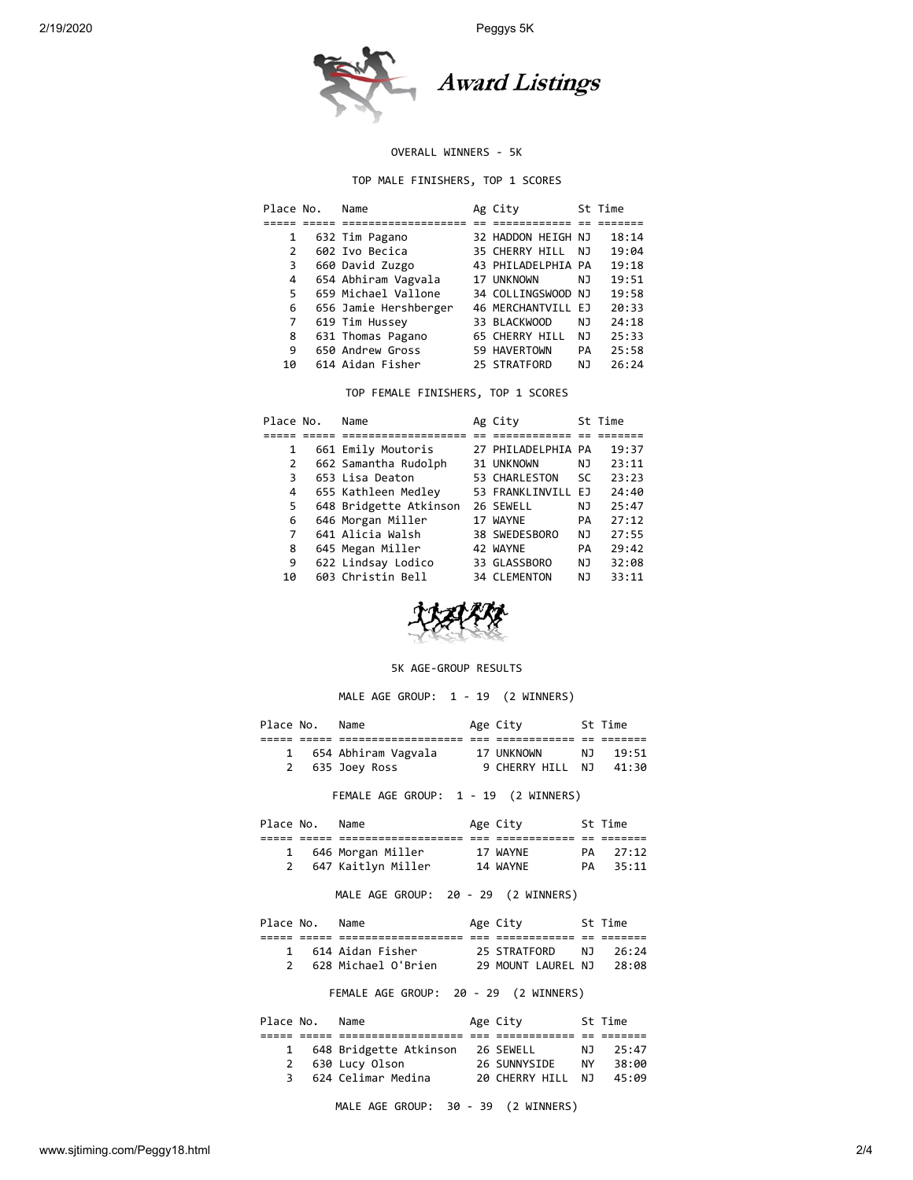

#### OVERALL WINNERS - 5K

TOP MALE FINISHERS, TOP 1 SCORES

| Place No. |    | Name                  | Ag City            |    | St Time |
|-----------|----|-----------------------|--------------------|----|---------|
|           |    |                       |                    |    |         |
|           | 1  | 632 Tim Pagano        | 32 HADDON HEIGH NJ |    | 18:14   |
|           | 2  | 602 Ivo Becica        | 35 CHERRY HILL     | NJ | 19:04   |
|           | 3  | 660 David Zuzgo       | 43 PHILADELPHIA PA |    | 19:18   |
|           | 4  | 654 Abhiram Vagvala   | 17 UNKNOWN         | NJ | 19:51   |
|           | 5  | 659 Michael Vallone   | 34 COLLINGSWOOD NJ |    | 19:58   |
|           | 6  | 656 Jamie Hershberger | 46 MERCHANTVILL EJ |    | 20:33   |
|           | 7  | 619 Tim Hussey        | 33 BLACKWOOD       | NJ | 24:18   |
|           | 8  | 631 Thomas Pagano     | 65 CHERRY HILL     | NJ | 25:33   |
|           | 9  | 650 Andrew Gross      | 59 HAVERTOWN       | PA | 25:58   |
|           | 10 | 614 Aidan Fisher      | 25 STRATFORD       | NJ | 26:24   |

TOP FEMALE FINISHERS, TOP 1 SCORES

| Place No. | Name                   | Ag City             |           | St Time |
|-----------|------------------------|---------------------|-----------|---------|
|           |                        |                     |           |         |
| 1         | 661 Emily Moutoris     | 27 PHILADELPHIA PA  |           | 19:37   |
| 2         | 662 Samantha Rudolph   | 31 UNKNOWN          | ΝJ        | 23:11   |
| 3         | 653 Lisa Deaton        | 53 CHARLESTON       | <b>SC</b> | 23:23   |
| 4         | 655 Kathleen Medley    | 53 FRANKLINVILL EJ  |           | 24:40   |
| 5.        | 648 Bridgette Atkinson | 26 SEWELL           | ΝJ        | 25:47   |
| 6         | 646 Morgan Miller      | 17 WAYNE            | PA        | 27:12   |
| 7         | 641 Alicia Walsh       | 38 SWEDESBORO       | NJ        | 27:55   |
| 8         | 645 Megan Miller       | 42 WAYNE            | PA        | 29:42   |
| 9         | 622 Lindsay Lodico     | 33 GLASSBORO        | NJ        | 32:08   |
| 10        | 603 Christin Bell      | <b>34 CLEMENTON</b> | ΝJ        | 33:11   |



#### 5K AGE-GROUP RESULTS

MALE AGE GROUP: 1 - 19 (2 WINNERS)

|  | Place No. Name Manuel Age City St Time                                              |  |
|--|-------------------------------------------------------------------------------------|--|
|  |                                                                                     |  |
|  | 1 654 Abhiram Vagvala 17 UNKNOWN NJ 19:51<br>2 635 Joey Ross 9 CHERRY HILL NJ 41:30 |  |
|  |                                                                                     |  |
|  | FEMALE AGE GROUP: 1 - 19 (2 WINNERS)                                                |  |
|  | Place No. Name Manuel Age City St Time                                              |  |
|  |                                                                                     |  |
|  | 1 646 Morgan Miller 17 WAYNE PA 27:12                                               |  |
|  | 2 647 Kaitlyn Miller 14 WAYNE PA 35:11                                              |  |
|  | MALE AGE GROUP: 20 - 29 (2 WINNERS)                                                 |  |
|  | Place No. Name Age City 5t Time                                                     |  |
|  |                                                                                     |  |
|  | 1 614 Aidan Fisher 25 STRATFORD NJ 26:24                                            |  |
|  | 2 628 Michael O'Brien 29 MOUNT LAUREL NJ 28:08                                      |  |
|  | FEMALE AGE GROUP: 20 - 29 (2 WINNERS)                                               |  |
|  | Place No. Name Age City 5t Time                                                     |  |
|  |                                                                                     |  |
|  | 1 648 Bridgette Atkinson 26 SEWELL NJ 25:47                                         |  |
|  |                                                                                     |  |
|  | 2 630 Lucy Olson 26 SUNNYSIDE NY 38:00                                              |  |

|  |  |  | MALE AGE GROUP: 30 - 39 (2 WINNERS) |  |
|--|--|--|-------------------------------------|--|
|  |  |  |                                     |  |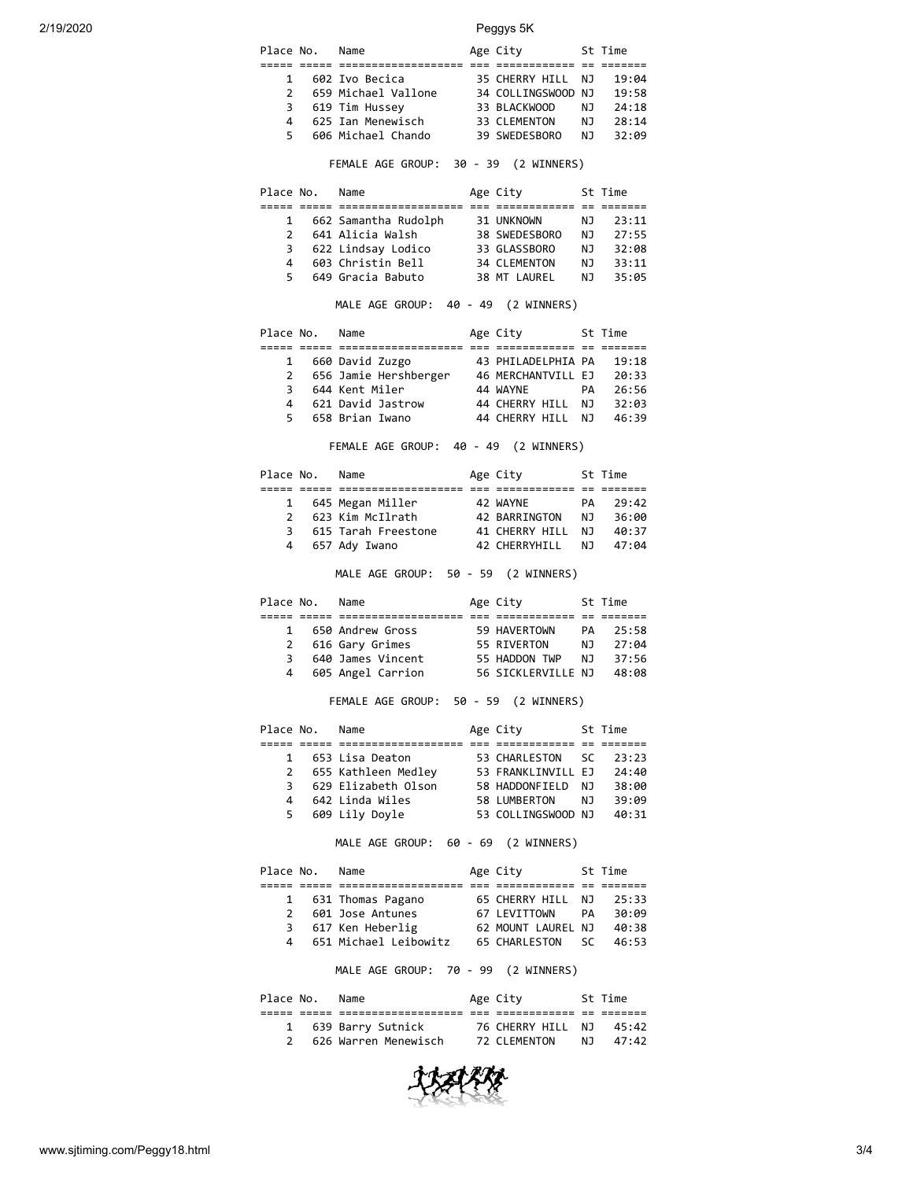| Place No.      | Name                | Age City           |     | St Time |
|----------------|---------------------|--------------------|-----|---------|
|                |                     |                    |     |         |
| 1              | 602 Ivo Becica      | 35 CHERRY HILL     | NJ. | 19:04   |
| $\overline{2}$ | 659 Michael Vallone | 34 COLLINGSWOOD NJ |     | 19:58   |
| 3              | 619 Tim Hussey      | 33 BLACKWOOD       | NJ. | 24:18   |
| 4              | 625 Ian Menewisch   | 33 CLEMENTON       | N J | 28:14   |
| 5.             | 606 Michael Chando  | 39 SWEDESBORO      | N J | 32:09   |

# FEMALE AGE GROUP: 30 - 39 (2 WINNERS)

| Place No.     | Name                 | Age City            |     | St Time |
|---------------|----------------------|---------------------|-----|---------|
|               |                      |                     |     |         |
| $\mathbf{1}$  | 662 Samantha Rudolph | 31 UNKNOWN          | ΝJ  | 23:11   |
| $\mathcal{P}$ | 641 Alicia Walsh     | 38 SWEDESBORO       | N J | 27:55   |
| 3             | 622 Lindsay Lodico   | 33 GLASSBORO        | NJ. | 32:08   |
| 4             | 603 Christin Bell    | <b>34 CLEMENTON</b> | NJ. | 33:11   |
| 5.            | 649 Gracia Babuto    | 38 MT LAUREL        | NJ. | 35:05   |

### MALE AGE GROUP: 40 - 49 (2 WINNERS)

| Place No.    | Name                  | Age City           |     | St Time |
|--------------|-----------------------|--------------------|-----|---------|
|              |                       |                    |     |         |
| $\mathbf{1}$ | 660 David Zuzgo       | 43 PHILADELPHIA PA |     | 19:18   |
| 2            | 656 Jamie Hershberger | 46 MERCHANTVILL EJ |     | 20:33   |
| 3            | 644 Kent Miler        | 44 WAYNE           | PА  | 26:56   |
| 4            | 621 David Jastrow     | 44 CHERRY HILL     | N J | 32:03   |
| 5.           | 658 Brian Iwano       | 44 CHERRY HILL     | N J | 46:39   |

FEMALE AGE GROUP: 40 - 49 (2 WINNERS)

| Place No.     | Name                | Age City       |     | St Time |  |
|---------------|---------------------|----------------|-----|---------|--|
|               |                     |                |     |         |  |
| $\mathbf{1}$  | 645 Megan Miller    | 42 WAYNE       | PА  | 29:42   |  |
| $\mathcal{P}$ | 623 Kim McIlrath    | 42 BARRINGTON  | N J | 36:00   |  |
| 3.            | 615 Tarah Freestone | 41 CHERRY HILL | N J | 40:37   |  |
|               | 4 657 Ady Iwano     | 42 CHERRYHILL  | N J | 47:04   |  |
|               |                     |                |     |         |  |

# MALE AGE GROUP: 50 - 59 (2 WINNERS)

|  |                                |                                                                                       |                                                          | 25:58                     |               |
|--|--------------------------------|---------------------------------------------------------------------------------------|----------------------------------------------------------|---------------------------|---------------|
|  |                                |                                                                                       | N J                                                      | 27:04                     |               |
|  |                                |                                                                                       |                                                          | 37:56                     |               |
|  |                                |                                                                                       |                                                          | 48:08                     |               |
|  | Place No.<br>1<br>2<br>3.<br>4 | Name<br>650 Andrew Gross<br>616 Gary Grimes<br>640 James Vincent<br>605 Angel Carrion | Age City<br>59 HAVERTOWN<br>55 RIVERTON<br>55 HADDON TWP | N J<br>56 SICKLERVILLE NJ | St Time<br>PA |

### FEMALE AGE GROUP: 50 - 59 (2 WINNERS)

| Place No. | Name                | Age City           |     | St Time |
|-----------|---------------------|--------------------|-----|---------|
|           |                     |                    |     |         |
| 1         | 653 Lisa Deaton     | 53 CHARLESTON SC   |     | 23:23   |
| 2         | 655 Kathleen Medley | 53 FRANKLINVILL EJ |     | 24:40   |
| 3         | 629 Elizabeth Olson | 58 HADDONFIELD     | N J | 38:00   |
| 4         | 642 Linda Wiles     | 58 LUMBERTON       | NJ. | 39:09   |
| 5.        | 609 Lily Doyle      | 53 COLLINGSWOOD NJ |     | 40:31   |
|           |                     |                    |     |         |

# MALE AGE GROUP: 60 - 69 (2 WINNERS)

| Place No.     | Name                    | Age City           |    | St Time |
|---------------|-------------------------|--------------------|----|---------|
|               |                         |                    |    |         |
|               | 1 631 Thomas Pagano     | 65 CHERRY HILL NJ  |    | 25:33   |
| $\mathcal{P}$ | 601 Jose Antunes        | 67 LEVITTOWN       | PA | 30:09   |
| 3             | 617 Ken Heberlig        | 62 MOUNT LAUREL NJ |    | 40:38   |
|               | 4 651 Michael Leibowitz | 65 CHARLESTON SC   |    | 46:53   |

MALE AGE GROUP: 70 - 99 (2 WINNERS)

| Place No. | Name                 | Age City                |     | St Time |
|-----------|----------------------|-------------------------|-----|---------|
|           |                      |                         |     |         |
|           | 1 639 Barry Sutnick  | 76 CHERRY HILL NJ 45:42 |     |         |
|           | 626 Warren Menewisch | 72 CLEMENTON            | N J | 47:42   |
|           |                      |                         |     |         |